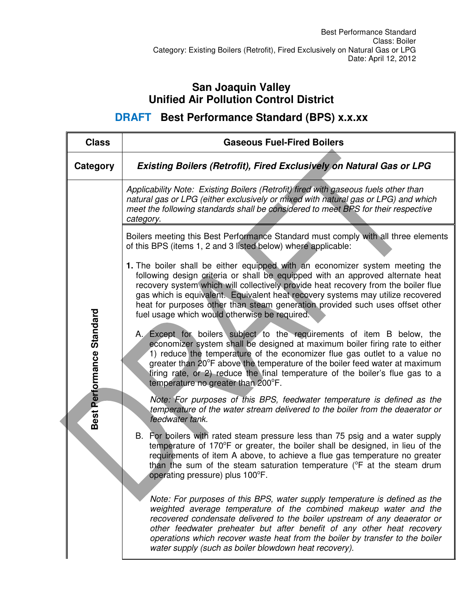## **San Joaquin Valley Unified Air Pollution Control District**

**DRAFT Best Performance Standard (BPS) x.x.xx** 

| <b>Class</b>              | <b>Gaseous Fuel-Fired Boilers</b>                                                                                                                                                                                                                                                                                                                                                                                                                                         |  |
|---------------------------|---------------------------------------------------------------------------------------------------------------------------------------------------------------------------------------------------------------------------------------------------------------------------------------------------------------------------------------------------------------------------------------------------------------------------------------------------------------------------|--|
| Category                  | <b>Existing Boilers (Retrofit), Fired Exclusively on Natural Gas or LPG</b>                                                                                                                                                                                                                                                                                                                                                                                               |  |
| Best Performance Standard | Applicability Note: Existing Boilers (Retrofit) fired with gaseous fuels other than<br>natural gas or LPG (either exclusively or mixed with natural gas or LPG) and which<br>meet the following standards shall be considered to meet BPS for their respective<br>category.                                                                                                                                                                                               |  |
|                           | Boilers meeting this Best Performance Standard must comply with all three elements<br>of this BPS (items 1, 2 and 3 listed below) where applicable:                                                                                                                                                                                                                                                                                                                       |  |
|                           | 1. The boiler shall be either equipped with an economizer system meeting the<br>following design criteria or shall be equipped with an approved alternate heat<br>recovery system which will collectively provide heat recovery from the boiler flue<br>gas which is equivalent. Equivalent heat recovery systems may utilize recovered<br>heat for purposes other than steam generation provided such uses offset other<br>fuel usage which would otherwise be required. |  |
|                           | A. Except for boilers subject to the requirements of item B below, the<br>economizer system shall be designed at maximum boiler firing rate to either<br>1) reduce the temperature of the economizer flue gas outlet to a value no<br>greater than 20°F above the temperature of the boiler feed water at maximum<br>firing rate, or 2) reduce the final temperature of the boiler's flue gas to a<br>temperature no greater than 200°F.                                  |  |
|                           | Note: For purposes of this BPS, feedwater temperature is defined as the<br>temperature of the water stream delivered to the boiler from the deaerator or<br>feedwater tank.                                                                                                                                                                                                                                                                                               |  |
|                           | B. For boilers with rated steam pressure less than 75 psig and a water supply<br>temperature of 170°F or greater, the boiler shall be designed, in lieu of the<br>requirements of item A above, to achieve a flue gas temperature no greater<br>than the sum of the steam saturation temperature ( $\degree$ F at the steam drum<br>operating pressure) plus 100°F.                                                                                                       |  |
|                           | Note: For purposes of this BPS, water supply temperature is defined as the<br>weighted average temperature of the combined makeup water and the<br>recovered condensate delivered to the boiler upstream of any deaerator or<br>other feedwater preheater but after benefit of any other heat recovery<br>operations which recover waste heat from the boiler by transfer to the boiler<br>water supply (such as boiler blowdown heat recovery).                          |  |